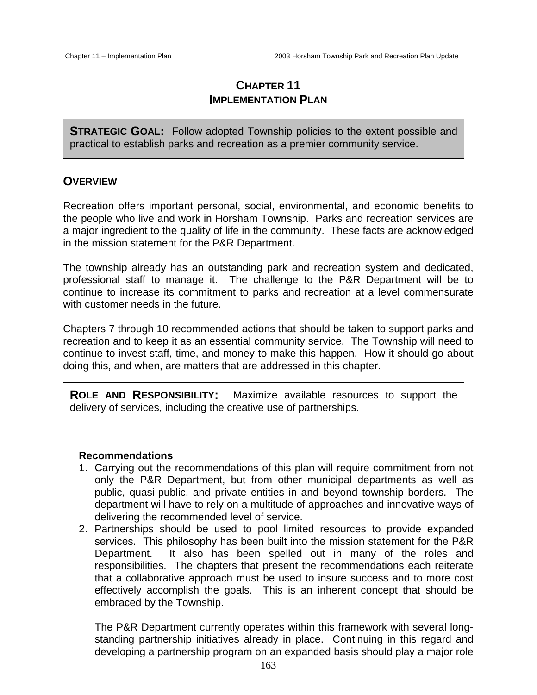## **CHAPTER 11 IMPLEMENTATION PLAN**

**STRATEGIC GOAL:** Follow adopted Township policies to the extent possible and practical to establish parks and recreation as a premier community service.

## **OVERVIEW**

Recreation offers important personal, social, environmental, and economic benefits to the people who live and work in Horsham Township. Parks and recreation services are a major ingredient to the quality of life in the community. These facts are acknowledged in the mission statement for the P&R Department.

The township already has an outstanding park and recreation system and dedicated, professional staff to manage it. The challenge to the P&R Department will be to continue to increase its commitment to parks and recreation at a level commensurate with customer needs in the future.

Chapters 7 through 10 recommended actions that should be taken to support parks and recreation and to keep it as an essential community service. The Township will need to continue to invest staff, time, and money to make this happen. How it should go about doing this, and when, are matters that are addressed in this chapter.

**ROLE AND RESPONSIBILITY:** Maximize available resources to support the delivery of services, including the creative use of partnerships.

## **Recommendations**

- 1. Carrying out the recommendations of this plan will require commitment from not only the P&R Department, but from other municipal departments as well as public, quasi-public, and private entities in and beyond township borders. The department will have to rely on a multitude of approaches and innovative ways of delivering the recommended level of service.
- 2. Partnerships should be used to pool limited resources to provide expanded services. This philosophy has been built into the mission statement for the P&R Department. It also has been spelled out in many of the roles and responsibilities. The chapters that present the recommendations each reiterate that a collaborative approach must be used to insure success and to more cost effectively accomplish the goals. This is an inherent concept that should be embraced by the Township.

The P&R Department currently operates within this framework with several longstanding partnership initiatives already in place. Continuing in this regard and developing a partnership program on an expanded basis should play a major role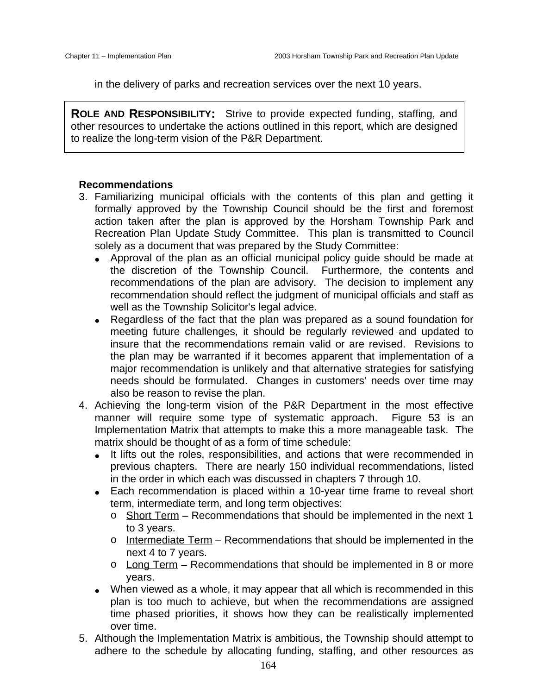in the delivery of parks and recreation services over the next 10 years.

**ROLE AND RESPONSIBILITY:** Strive to provide expected funding, staffing, and other resources to undertake the actions outlined in this report, which are designed to realize the long-term vision of the P&R Department.

- 3. Familiarizing municipal officials with the contents of this plan and getting it formally approved by the Township Council should be the first and foremost action taken after the plan is approved by the Horsham Township Park and Recreation Plan Update Study Committee. This plan is transmitted to Council solely as a document that was prepared by the Study Committee:
	- Approval of the plan as an official municipal policy guide should be made at the discretion of the Township Council. Furthermore, the contents and recommendations of the plan are advisory. The decision to implement any recommendation should reflect the judgment of municipal officials and staff as well as the Township Solicitor's legal advice.
	- Regardless of the fact that the plan was prepared as a sound foundation for meeting future challenges, it should be regularly reviewed and updated to insure that the recommendations remain valid or are revised. Revisions to the plan may be warranted if it becomes apparent that implementation of a major recommendation is unlikely and that alternative strategies for satisfying needs should be formulated. Changes in customers' needs over time may also be reason to revise the plan.
- 4. Achieving the long-term vision of the P&R Department in the most effective manner will require some type of systematic approach. Figure 53 is an Implementation Matrix that attempts to make this a more manageable task. The matrix should be thought of as a form of time schedule:
	- It lifts out the roles, responsibilities, and actions that were recommended in previous chapters. There are nearly 150 individual recommendations, listed in the order in which each was discussed in chapters 7 through 10.
	- Each recommendation is placed within a 10-year time frame to reveal short term, intermediate term, and long term objectives:
		- o Short Term Recommendations that should be implemented in the next 1 to 3 years.
		- o Intermediate Term Recommendations that should be implemented in the next 4 to 7 years.
		- $\circ$  Long Term Recommendations that should be implemented in 8 or more years.
	- When viewed as a whole, it may appear that all which is recommended in this plan is too much to achieve, but when the recommendations are assigned time phased priorities, it shows how they can be realistically implemented over time.
- 5. Although the Implementation Matrix is ambitious, the Township should attempt to adhere to the schedule by allocating funding, staffing, and other resources as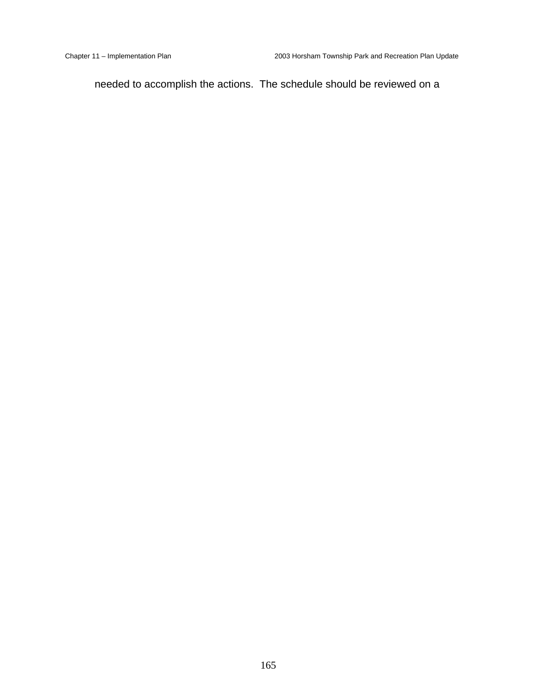needed to accomplish the actions. The schedule should be reviewed on a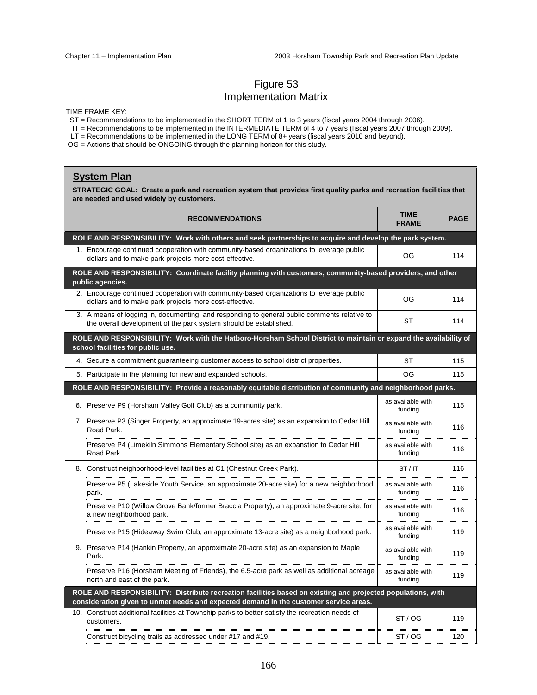## Figure 53 Implementation Matrix

TIME FRAME KEY:

- ST = Recommendations to be implemented in the SHORT TERM of 1 to 3 years (fiscal years 2004 through 2006).
- IT = Recommendations to be implemented in the INTERMEDIATE TERM of 4 to 7 years (fiscal years 2007 through 2009).
- LT = Recommendations to be implemented in the LONG TERM of 8+ years (fiscal years 2010 and beyond).
- $OG =$  Actions that should be ONGOING through the planning horizon for this study.

| <b>System Plan</b> |                                                                                                                                                                                                      |                              |     |  |  |  |  |  |
|--------------------|------------------------------------------------------------------------------------------------------------------------------------------------------------------------------------------------------|------------------------------|-----|--|--|--|--|--|
|                    | STRATEGIC GOAL: Create a park and recreation system that provides first quality parks and recreation facilities that<br>are needed and used widely by customers.                                     |                              |     |  |  |  |  |  |
|                    | <b>TIME</b><br><b>PAGE</b><br><b>RECOMMENDATIONS</b><br><b>FRAME</b>                                                                                                                                 |                              |     |  |  |  |  |  |
|                    | ROLE AND RESPONSIBILITY: Work with others and seek partnerships to acquire and develop the park system.                                                                                              |                              |     |  |  |  |  |  |
|                    | 1. Encourage continued cooperation with community-based organizations to leverage public<br>dollars and to make park projects more cost-effective.                                                   | OG                           | 114 |  |  |  |  |  |
|                    | ROLE AND RESPONSIBILITY: Coordinate facility planning with customers, community-based providers, and other<br>public agencies.                                                                       |                              |     |  |  |  |  |  |
|                    | 2. Encourage continued cooperation with community-based organizations to leverage public<br>dollars and to make park projects more cost-effective.                                                   | ОG                           | 114 |  |  |  |  |  |
|                    | 3. A means of logging in, documenting, and responding to general public comments relative to<br>the overall development of the park system should be established.                                    | ST                           | 114 |  |  |  |  |  |
|                    | ROLE AND RESPONSIBILITY: Work with the Hatboro-Horsham School District to maintain or expand the availability of<br>school facilities for public use.                                                |                              |     |  |  |  |  |  |
|                    | 4. Secure a commitment guaranteeing customer access to school district properties.                                                                                                                   | ST                           | 115 |  |  |  |  |  |
|                    | 5. Participate in the planning for new and expanded schools.                                                                                                                                         | OG                           | 115 |  |  |  |  |  |
|                    | ROLE AND RESPONSIBILITY: Provide a reasonably equitable distribution of community and neighborhood parks.                                                                                            |                              |     |  |  |  |  |  |
|                    | 6. Preserve P9 (Horsham Valley Golf Club) as a community park.                                                                                                                                       | as available with<br>funding | 115 |  |  |  |  |  |
|                    | 7. Preserve P3 (Singer Property, an approximate 19-acres site) as an expansion to Cedar Hill<br>Road Park.                                                                                           | as available with<br>funding | 116 |  |  |  |  |  |
|                    | Preserve P4 (Limekiln Simmons Elementary School site) as an expanstion to Cedar Hill<br>Road Park.                                                                                                   | as available with<br>funding | 116 |  |  |  |  |  |
|                    | 8. Construct neighborhood-level facilities at C1 (Chestnut Creek Park).                                                                                                                              | ST/IT                        | 116 |  |  |  |  |  |
|                    | Preserve P5 (Lakeside Youth Service, an approximate 20-acre site) for a new neighborhood<br>park.                                                                                                    | as available with<br>funding | 116 |  |  |  |  |  |
|                    | Preserve P10 (Willow Grove Bank/former Braccia Property), an approximate 9-acre site, for<br>a new neighborhood park.                                                                                | as available with<br>funding | 116 |  |  |  |  |  |
|                    | Preserve P15 (Hideaway Swim Club, an approximate 13-acre site) as a neighborhood park.                                                                                                               | as available with<br>funding | 119 |  |  |  |  |  |
|                    | 9. Preserve P14 (Hankin Property, an approximate 20-acre site) as an expansion to Maple<br>Park.                                                                                                     | as available with<br>funding | 119 |  |  |  |  |  |
|                    | Preserve P16 (Horsham Meeting of Friends), the 6.5-acre park as well as additional acreage<br>north and east of the park.                                                                            | as available with<br>funding | 119 |  |  |  |  |  |
|                    | ROLE AND RESPONSIBILITY: Distribute recreation facilities based on existing and projected populations, with<br>consideration given to unmet needs and expected demand in the customer service areas. |                              |     |  |  |  |  |  |
|                    | 10. Construct additional facilities at Township parks to better satisfy the recreation needs of<br>customers.                                                                                        | ST/OG                        | 119 |  |  |  |  |  |
|                    | Construct bicycling trails as addressed under #17 and #19.                                                                                                                                           | ST / OG                      | 120 |  |  |  |  |  |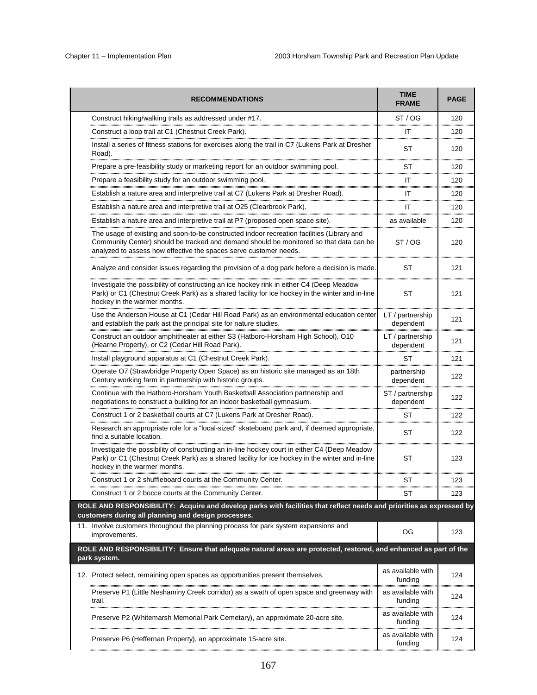| <b>RECOMMENDATIONS</b>                                                                                                                                                                                                                                    | <b>TIME</b><br><b>FRAME</b>   | <b>PAGE</b> |
|-----------------------------------------------------------------------------------------------------------------------------------------------------------------------------------------------------------------------------------------------------------|-------------------------------|-------------|
| Construct hiking/walking trails as addressed under #17.                                                                                                                                                                                                   | ST/OG                         | 120         |
| Construct a loop trail at C1 (Chestnut Creek Park).                                                                                                                                                                                                       | ΙT                            | 120         |
| Install a series of fitness stations for exercises along the trail in C7 (Lukens Park at Dresher<br>Road).                                                                                                                                                | ST                            | 120         |
| Prepare a pre-feasibility study or marketing report for an outdoor swimming pool.                                                                                                                                                                         | <b>ST</b>                     | 120         |
| Prepare a feasibility study for an outdoor swimming pool.                                                                                                                                                                                                 | IT                            | 120         |
| Establish a nature area and interpretive trail at C7 (Lukens Park at Dresher Road).                                                                                                                                                                       | IT                            | 120         |
| Establish a nature area and interpretive trail at O25 (Clearbrook Park).                                                                                                                                                                                  | IT                            | 120         |
| Establish a nature area and interpretive trail at P7 (proposed open space site).                                                                                                                                                                          | as available                  | 120         |
| The usage of existing and soon-to-be constructed indoor recreation facilities (Library and<br>Community Center) should be tracked and demand should be monitored so that data can be<br>analyzed to assess how effective the spaces serve customer needs. | ST/OG                         | 120         |
| Analyze and consider issues regarding the provision of a dog park before a decision is made.                                                                                                                                                              | ST                            | 121         |
| Investigate the possibility of constructing an ice hockey rink in either C4 (Deep Meadow<br>Park) or C1 (Chestnut Creek Park) as a shared facility for ice hockey in the winter and in-line<br>hockey in the warmer months.                               | ST                            | 121         |
| Use the Anderson House at C1 (Cedar Hill Road Park) as an environmental education center<br>and establish the park ast the principal site for nature studies.                                                                                             | LT / partnership<br>dependent | 121         |
| Construct an outdoor amphitheater at either S3 (Hatboro-Horsham High School), O10<br>(Hearne Property), or C2 (Cedar Hill Road Park).                                                                                                                     | LT / partnership<br>dependent | 121         |
| Install playground apparatus at C1 (Chestnut Creek Park).                                                                                                                                                                                                 | SТ                            | 121         |
| Operate O7 (Strawbridge Property Open Space) as an historic site managed as an 18th<br>Century working farm in partnership with historic groups.                                                                                                          | partnership<br>dependent      | 122         |
| Continue with the Hatboro-Horsham Youth Basketball Association partnership and<br>negotiations to construct a building for an indoor basketball gymnasium.                                                                                                | ST / partnership<br>dependent | 122         |
| Construct 1 or 2 basketball courts at C7 (Lukens Park at Dresher Road).                                                                                                                                                                                   | SТ                            | 122         |
| Research an appropriate role for a "local-sized" skateboard park and, if deemed appropriate,<br>find a suitable location.                                                                                                                                 | ST                            | 122         |
| Investigate the possibility of constructing an in-line hockey court in either C4 (Deep Meadow<br>Park) or C1 (Chestnut Creek Park) as a shared facility for ice hockey in the winter and in-line<br>hockey in the warmer months.                          | ST                            | 123         |
| Construct 1 or 2 shuffleboard courts at the Community Center.                                                                                                                                                                                             | SТ                            | 123         |
| Construct 1 or 2 bocce courts at the Community Center.                                                                                                                                                                                                    | SТ                            | 123         |
| ROLE AND RESPONSIBILITY: Acquire and develop parks with facilities that reflect needs and priorities as expressed by<br>customers during all planning and design processes.                                                                               |                               |             |
| 11. Involve customers throughout the planning process for park system expansions and<br>improvements.                                                                                                                                                     | OG                            | 123         |
| ROLE AND RESPONSIBILITY: Ensure that adequate natural areas are protected, restored, and enhanced as part of the<br>park system.                                                                                                                          |                               |             |
| 12. Protect select, remaining open spaces as opportunities present themselves.                                                                                                                                                                            | as available with<br>funding  | 124         |
| Preserve P1 (Little Neshaminy Creek corridor) as a swath of open space and greenway with<br>trail.                                                                                                                                                        | as available with<br>funding  | 124         |
| Preserve P2 (Whitemarsh Memorial Park Cemetary), an approximate 20-acre site.                                                                                                                                                                             | as available with<br>funding  | 124         |
| Preserve P6 (Heffernan Property), an approximate 15-acre site.                                                                                                                                                                                            | as available with<br>funding  | 124         |
|                                                                                                                                                                                                                                                           |                               |             |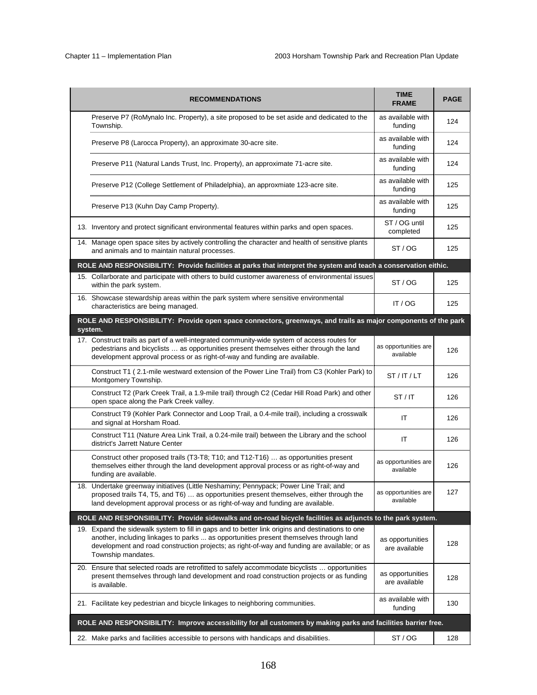| <b>RECOMMENDATIONS</b>                                                                                                                                                                                                                                                                                            | <b>TIME</b><br><b>FRAME</b>       | <b>PAGE</b> |
|-------------------------------------------------------------------------------------------------------------------------------------------------------------------------------------------------------------------------------------------------------------------------------------------------------------------|-----------------------------------|-------------|
| Preserve P7 (RoMynalo Inc. Property), a site proposed to be set aside and dedicated to the<br>Township.                                                                                                                                                                                                           | as available with<br>funding      | 124         |
| Preserve P8 (Larocca Property), an approximate 30-acre site.                                                                                                                                                                                                                                                      | as available with<br>funding      | 124         |
| Preserve P11 (Natural Lands Trust, Inc. Property), an approximate 71-acre site.                                                                                                                                                                                                                                   | as available with<br>funding      | 124         |
| Preserve P12 (College Settlement of Philadelphia), an approxmiate 123-acre site.                                                                                                                                                                                                                                  | as available with<br>funding      | 125         |
| Preserve P13 (Kuhn Day Camp Property).                                                                                                                                                                                                                                                                            | as available with<br>funding      | 125         |
| 13. Inventory and protect significant environmental features within parks and open spaces.                                                                                                                                                                                                                        | ST / OG until<br>completed        | 125         |
| 14. Manage open space sites by actively controlling the character and health of sensitive plants<br>and animals and to maintain natural processes.                                                                                                                                                                | ST/OG                             | 125         |
| ROLE AND RESPONSIBILITY: Provide facilities at parks that interpret the system and teach a conservation eithic.                                                                                                                                                                                                   |                                   |             |
| 15. Collarborate and participate with others to build customer awareness of environmental issues<br>within the park system.                                                                                                                                                                                       | ST/OG                             | 125         |
| 16. Showcase stewardship areas within the park system where sensitive environmental<br>characteristics are being managed.                                                                                                                                                                                         | IT/OG                             | 125         |
| ROLE AND RESPONSIBILITY: Provide open space connectors, greenways, and trails as major components of the park<br>system.                                                                                                                                                                                          |                                   |             |
| 17. Construct trails as part of a well-integrated community-wide system of access routes for<br>pedestrians and bicyclists  as opportunities present themselves either through the land<br>development approval process or as right-of-way and funding are available.                                             | as opportunities are<br>available | 126         |
| Construct T1 (2.1-mile westward extension of the Power Line Trail) from C3 (Kohler Park) to<br>Montgomery Township.                                                                                                                                                                                               | ST/IT/LT                          | 126         |
| Construct T2 (Park Creek Trail, a 1.9-mile trail) through C2 (Cedar Hill Road Park) and other<br>open space along the Park Creek valley.                                                                                                                                                                          | ST/IT                             | 126         |
| Construct T9 (Kohler Park Connector and Loop Trail, a 0.4-mile trail), including a crosswalk<br>and signal at Horsham Road.                                                                                                                                                                                       | IT                                | 126         |
| Construct T11 (Nature Area Link Trail, a 0.24-mile trail) between the Library and the school<br>district's Jarrett Nature Center                                                                                                                                                                                  | IT                                | 126         |
| Construct other proposed trails (T3-T8; T10; and T12-T16)  as opportunities present<br>themselves either through the land development approval process or as right-of-way and<br>funding are available.                                                                                                           | as opportunities are<br>available | 126         |
| 18. Undertake greenway initiatives (Little Neshaminy; Pennypack; Power Line Trail; and<br>proposed trails T4, T5, and T6)  as opportunities present themselves, either through the<br>land development approval process or as right-of-way and funding are available.                                             | as opportunities are<br>available | 127         |
| ROLE AND RESPONSIBILITY: Provide sidewalks and on-road bicycle facilities as adjuncts to the park system.                                                                                                                                                                                                         |                                   |             |
| 19. Expand the sidewalk system to fill in gaps and to better link origins and destinations to one<br>another, including linkages to parks  as opportunities present themselves through land<br>development and road construction projects; as right-of-way and funding are available; or as<br>Township mandates. | as opportunities<br>are available | 128         |
| 20. Ensure that selected roads are retrofitted to safely accommodate bicyclists  opportunities<br>present themselves through land development and road construction projects or as funding<br>is available.                                                                                                       | as opportunities<br>are available | 128         |
| 21. Facilitate key pedestrian and bicycle linkages to neighboring communities.                                                                                                                                                                                                                                    | as available with<br>funding      | 130         |
| ROLE AND RESPONSIBILITY: Improve accessibility for all customers by making parks and facilities barrier free.                                                                                                                                                                                                     |                                   |             |
| 22. Make parks and facilities accessible to persons with handicaps and disabilities.                                                                                                                                                                                                                              | ST/OG                             | 128         |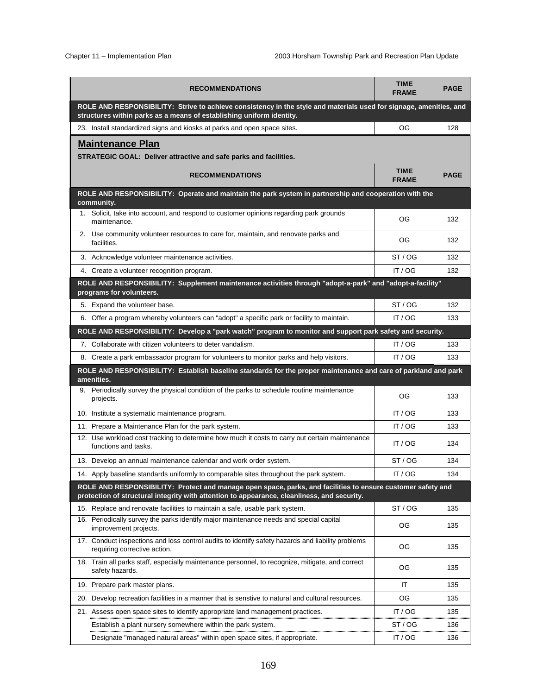| <b>RECOMMENDATIONS</b>                                                                                                                                                                                     | <b>TIME</b><br><b>FRAME</b> | <b>PAGE</b> |
|------------------------------------------------------------------------------------------------------------------------------------------------------------------------------------------------------------|-----------------------------|-------------|
| ROLE AND RESPONSIBILITY: Strive to achieve consistency in the style and materials used for signage, amenities, and<br>structures within parks as a means of establishing uniform identity.                 |                             |             |
| 23. Install standardized signs and kiosks at parks and open space sites.                                                                                                                                   | OG                          | 128         |
| <b>Maintenance Plan</b><br>STRATEGIC GOAL: Deliver attractive and safe parks and facilities.                                                                                                               |                             |             |
| <b>RECOMMENDATIONS</b>                                                                                                                                                                                     | <b>TIME</b><br><b>FRAME</b> | <b>PAGE</b> |
| ROLE AND RESPONSIBILITY: Operate and maintain the park system in partnership and cooperation with the<br>community.                                                                                        |                             |             |
| 1. Solicit, take into account, and respond to customer opinions regarding park grounds<br>maintenance.                                                                                                     | OG                          | 132         |
| 2. Use community volunteer resources to care for, maintain, and renovate parks and<br>facilities.                                                                                                          | OG                          | 132         |
| 3. Acknowledge volunteer maintenance activities.                                                                                                                                                           | ST/OG                       | 132         |
| 4. Create a volunteer recognition program.                                                                                                                                                                 | IT / OG                     | 132         |
| ROLE AND RESPONSIBILITY: Supplement maintenance activities through "adopt-a-park" and "adopt-a-facility"<br>programs for volunteers.                                                                       |                             |             |
| 5. Expand the volunteer base.                                                                                                                                                                              | ST/OG                       | 132         |
| 6. Offer a program whereby volunteers can "adopt" a specific park or facility to maintain.                                                                                                                 | IT/OG                       | 133         |
| ROLE AND RESPONSIBILITY: Develop a "park watch" program to monitor and support park safety and security.                                                                                                   |                             |             |
| 7. Collaborate with citizen volunteers to deter vandalism.                                                                                                                                                 | IT / OG                     | 133         |
| 8. Create a park embassador program for volunteers to monitor parks and help visitors.                                                                                                                     | IT / OG                     | 133         |
| ROLE AND RESPONSIBILITY: Establish baseline standards for the proper maintenance and care of parkland and park<br>amenities.                                                                               |                             |             |
| Periodically survey the physical condition of the parks to schedule routine maintenance<br>9.<br>projects.                                                                                                 | OG                          | 133         |
| 10. Institute a systematic maintenance program.                                                                                                                                                            | IT/OG                       | 133         |
| 11. Prepare a Maintenance Plan for the park system.                                                                                                                                                        | IT / OG                     | 133         |
| 12. Use workload cost tracking to determine how much it costs to carry out certain maintenance<br>functions and tasks.                                                                                     | IT / OG                     | 134         |
| 13. Develop an annual maintenance calendar and work order system.                                                                                                                                          | ST/OG                       | 134         |
| 14. Apply baseline standards uniformly to comparable sites throughout the park system.                                                                                                                     | IT / OG                     | 134         |
| ROLE AND RESPONSIBILITY: Protect and manage open space, parks, and facilities to ensure customer safety and<br>protection of structural integrity with attention to appearance, cleanliness, and security. |                             |             |
| 15. Replace and renovate facilities to maintain a safe, usable park system.                                                                                                                                | ST/OG                       | 135         |
| 16. Periodically survey the parks identify major maintenance needs and special capital<br>improvement projects.                                                                                            | OG                          | 135         |
| 17. Conduct inspections and loss control audits to identify safety hazards and liability problems<br>requiring corrective action.                                                                          | OG                          | 135         |
| 18. Train all parks staff, especially maintenance personnel, to recognize, mitigate, and correct<br>safety hazards.                                                                                        | OG                          | 135         |
| 19. Prepare park master plans.                                                                                                                                                                             | ΙT                          | 135         |
| 20.<br>Develop recreation facilities in a manner that is senstive to natural and cultural resources.                                                                                                       | OG                          | 135         |
| 21. Assess open space sites to identify appropriate land management practices.                                                                                                                             | IT / $OG$                   | 135         |
| Establish a plant nursery somewhere within the park system.                                                                                                                                                | ST / OG                     | 136         |
| Designate "managed natural areas" within open space sites, if appropriate.                                                                                                                                 | IT / OG                     | 136         |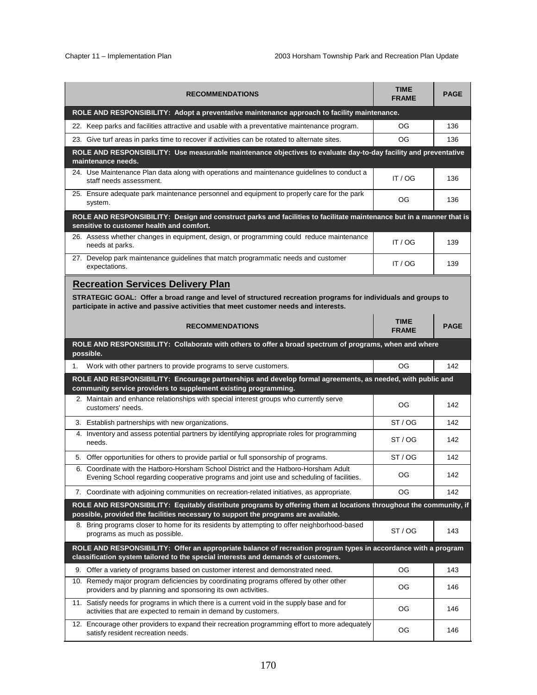Ņ

| <b>RECOMMENDATIONS</b>                                                                                                                                                                                  | <b>TIME</b><br><b>FRAME</b> | <b>PAGE</b> |
|---------------------------------------------------------------------------------------------------------------------------------------------------------------------------------------------------------|-----------------------------|-------------|
| ROLE AND RESPONSIBILITY: Adopt a preventative maintenance approach to facility maintenance.                                                                                                             |                             |             |
| 22. Keep parks and facilities attractive and usable with a preventative maintenance program.                                                                                                            | OG                          | 136         |
| 23. Give turf areas in parks time to recover if activities can be rotated to alternate sites.                                                                                                           | OG                          | 136         |
| ROLE AND RESPONSIBILITY: Use measurable maintenance objectives to evaluate day-to-day facility and preventative<br>maintenance needs.                                                                   |                             |             |
| 24. Use Maintenance Plan data along with operations and maintenance guidelines to conduct a<br>staff needs assessment.                                                                                  | IT/OG                       | 136         |
| 25. Ensure adequate park maintenance personnel and equipment to properly care for the park<br>system.                                                                                                   | OG                          | 136         |
| ROLE AND RESPONSIBILITY: Design and construct parks and facilities to facilitate maintenance but in a manner that is<br>sensitive to customer health and comfort.                                       |                             |             |
| 26. Assess whether changes in equipment, design, or programming could reduce maintenance<br>needs at parks.                                                                                             | IT/OG                       | 139         |
| 27. Develop park maintenance guidelines that match programmatic needs and customer<br>expectations.                                                                                                     | IT / OG                     | 139         |
| <b>Recreation Services Delivery Plan</b>                                                                                                                                                                |                             |             |
| STRATEGIC GOAL: Offer a broad range and level of structured recreation programs for individuals and groups to                                                                                           |                             |             |
| participate in active and passive activities that meet customer needs and interests.                                                                                                                    |                             |             |
| <b>RECOMMENDATIONS</b>                                                                                                                                                                                  | <b>TIME</b><br><b>FRAME</b> | <b>PAGE</b> |
| ROLE AND RESPONSIBILITY: Collaborate with others to offer a broad spectrum of programs, when and where<br>possible.                                                                                     |                             |             |
| Work with other partners to provide programs to serve customers.<br>1.                                                                                                                                  | OG                          | 142         |
| ROLE AND RESPONSIBILITY: Encourage partnerships and develop formal agreements, as needed, with public and<br>community service providers to supplement existing programming.                            |                             |             |
| 2. Maintain and enhance relationships with special interest groups who currently serve<br>customers' needs.                                                                                             | ОG                          | 142         |
| 3. Establish partnerships with new organizations.                                                                                                                                                       | ST/OG                       | 142         |
| 4. Inventory and assess potential partners by identifying appropriate roles for programming<br>needs.                                                                                                   | ST/OG                       | 142         |
| 5. Offer opportunities for others to provide partial or full sponsorship of programs.                                                                                                                   | ST/OG                       | 142         |
| 6. Coordinate with the Hatboro-Horsham School District and the Hatboro-Horsham Adult<br>Evening School regarding cooperative programs and joint use and scheduling of facilities.                       | OG                          | 142         |
| 7. Coordinate with adjoining communities on recreation-related initiatives, as appropriate.                                                                                                             | ОG                          | 142         |
| ROLE AND RESPONSIBILITY: Equitably distribute programs by offering them at locations throughout the community, if<br>possible, provided the facilities necessary to support the programs are available. |                             |             |
| 8. Bring programs closer to home for its residents by attempting to offer neighborhood-based<br>programs as much as possible.                                                                           | ST/OG                       | 143         |
| ROLE AND RESPONSIBILITY: Offer an appropriate balance of recreation program types in accordance with a program<br>classification system tailored to the special interests and demands of customers.     |                             |             |
| 9. Offer a variety of programs based on customer interest and demonstrated need.                                                                                                                        | OG                          | 143         |
| 10. Remedy major program deficiencies by coordinating programs offered by other other<br>providers and by planning and sponsoring its own activities.                                                   | ОG                          | 146         |
| 11. Satisfy needs for programs in which there is a current void in the supply base and for<br>activities that are expected to remain in demand by customers.                                            | ОG                          | 146         |
| 12. Encourage other providers to expand their recreation programming effort to more adequately<br>satisfy resident recreation needs.                                                                    | ОG                          | 146         |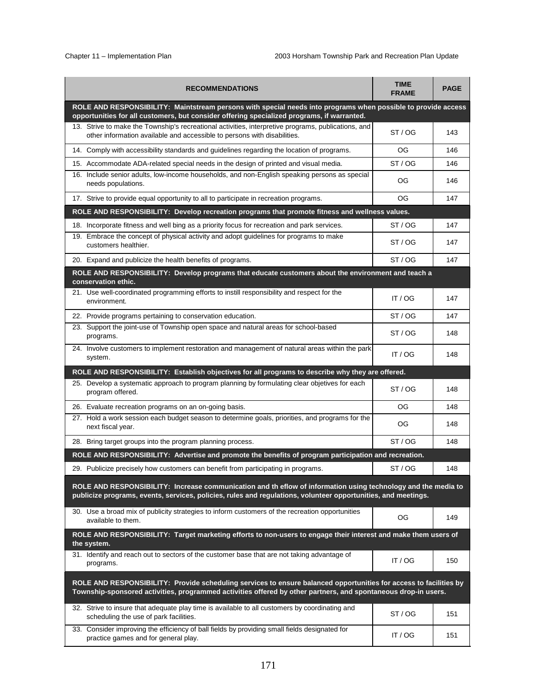| <b>RECOMMENDATIONS</b>                                                                                                                                                                                                              | <b>TIME</b><br><b>FRAME</b> | <b>PAGE</b> |
|-------------------------------------------------------------------------------------------------------------------------------------------------------------------------------------------------------------------------------------|-----------------------------|-------------|
| ROLE AND RESPONSIBILITY: Maintstream persons with special needs into programs when possible to provide access<br>opportunities for all customers, but consider offering specialized programs, if warranted.                         |                             |             |
| 13. Strive to make the Township's recreational activities, interpretive programs, publications, and<br>other information available and accessible to persons with disabilities.                                                     | ST/OG                       | 143         |
| 14. Comply with accessibility standards and guidelines regarding the location of programs.                                                                                                                                          | OG                          | 146         |
| 15. Accommodate ADA-related special needs in the design of printed and visual media.                                                                                                                                                | ST/OG                       | 146         |
| 16. Include senior adults, low-income households, and non-English speaking persons as special<br>needs populations.                                                                                                                 | OG                          | 146         |
| 17. Strive to provide equal opportunity to all to participate in recreation programs.                                                                                                                                               | OG                          | 147         |
| ROLE AND RESPONSIBILITY: Develop recreation programs that promote fitness and wellness values.                                                                                                                                      |                             |             |
| 18. Incorporate fitness and well bing as a priority focus for recreation and park services.                                                                                                                                         | ST / OG                     | 147         |
| 19. Embrace the concept of physical activity and adopt guidelines for programs to make<br>customers healthier.                                                                                                                      | ST / OG                     | 147         |
| 20. Expand and publicize the health benefits of programs.                                                                                                                                                                           | ST/OG                       | 147         |
| ROLE AND RESPONSIBILITY: Develop programs that educate customers about the environment and teach a<br>conservation ethic.                                                                                                           |                             |             |
| 21. Use well-coordinated programming efforts to instill responsibility and respect for the<br>environment.                                                                                                                          | IT/OG                       | 147         |
| 22. Provide programs pertaining to conservation education.                                                                                                                                                                          | ST/OG                       | 147         |
| 23. Support the joint-use of Township open space and natural areas for school-based<br>programs.                                                                                                                                    | ST/OG                       | 148         |
| 24. Involve customers to implement restoration and management of natural areas within the park<br>system.                                                                                                                           | IT/OG                       | 148         |
| ROLE AND RESPONSIBILITY: Establish objectives for all programs to describe why they are offered.                                                                                                                                    |                             |             |
| 25. Develop a systematic approach to program planning by formulating clear objetives for each<br>program offered.                                                                                                                   | ST / OG                     | 148         |
| 26. Evaluate recreation programs on an on-going basis.                                                                                                                                                                              | OG                          | 148         |
| 27. Hold a work session each budget season to determine goals, priorities, and programs for the<br>next fiscal year.                                                                                                                | OG                          | 148         |
| 28. Bring target groups into the program planning process.                                                                                                                                                                          | ST/OG                       | 148         |
| ROLE AND RESPONSIBILITY: Advertise and promote the benefits of program participation and recreation.                                                                                                                                |                             |             |
| 29. Publicize precisely how customers can benefit from participating in programs.                                                                                                                                                   | ST/OG                       | 148         |
| ROLE AND RESPONSIBILITY: Increase communication and th eflow of information using technology and the media to<br>publicize programs, events, services, policies, rules and regulations, volunteer opportunities, and meetings.      |                             |             |
| 30. Use a broad mix of publicity strategies to inform customers of the recreation opportunities<br>available to them.                                                                                                               | OG                          | 149         |
| ROLE AND RESPONSIBILITY: Target marketing efforts to non-users to engage their interest and make them users of<br>the system.                                                                                                       |                             |             |
| 31. Identify and reach out to sectors of the customer base that are not taking advantage of<br>programs.                                                                                                                            | IT / OG                     | 150         |
| ROLE AND RESPONSIBILITY: Provide scheduling services to ensure balanced opportunities for access to facilities by<br>Township-sponsored activities, programmed activities offered by other partners, and spontaneous drop-in users. |                             |             |
| 32. Strive to insure that adequate play time is available to all customers by coordinating and<br>scheduling the use of park facilities.                                                                                            | ST / OG                     | 151         |
| 33. Consider improving the efficiency of ball fields by providing small fields designated for<br>practice games and for general play.                                                                                               | IT / OG                     | 151         |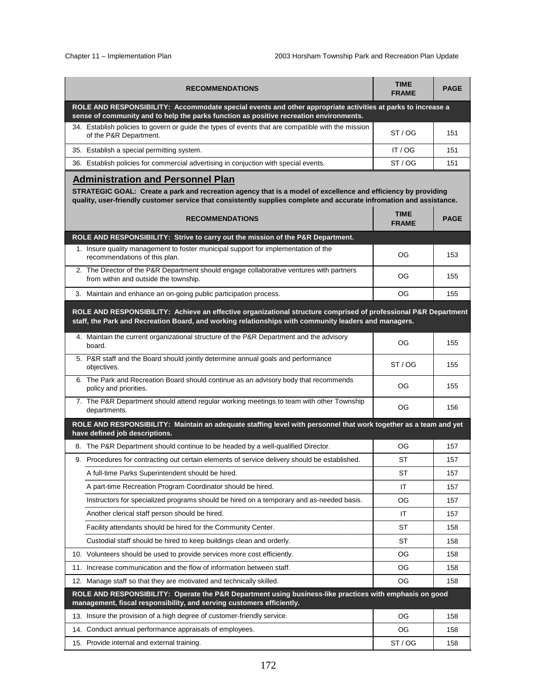| <b>RECOMMENDATIONS</b>                                                                                                                                                                                                                                                            | <b>TIME</b><br><b>FRAME</b> | <b>PAGE</b> |  |  |
|-----------------------------------------------------------------------------------------------------------------------------------------------------------------------------------------------------------------------------------------------------------------------------------|-----------------------------|-------------|--|--|
| ROLE AND RESPONSIBILITY: Accommodate special events and other appropriate activities at parks to increase a<br>sense of community and to help the parks function as positive recreation environments.                                                                             |                             |             |  |  |
| 34. Establish policies to govern or guide the types of events that are compatible with the mission<br>of the P&R Department.                                                                                                                                                      | ST/OG                       | 151         |  |  |
| 35. Establish a special permitting system.                                                                                                                                                                                                                                        | IT / OG                     | 151         |  |  |
| 36. Establish policies for commercial advertising in conjuction with special events.                                                                                                                                                                                              | ST/OG                       | 151         |  |  |
| <b>Administration and Personnel Plan</b><br>STRATEGIC GOAL: Create a park and recreation agency that is a model of excellence and efficiency by providing<br>quality, user-friendly customer service that consistently supplies complete and accurate infromation and assistance. |                             |             |  |  |
| <b>RECOMMENDATIONS</b>                                                                                                                                                                                                                                                            | <b>TIME</b><br><b>FRAME</b> | <b>PAGE</b> |  |  |
| ROLE AND RESPONSIBILITY: Strive to carry out the mission of the P&R Department.                                                                                                                                                                                                   |                             |             |  |  |
| 1. Insure quality management to foster municipal support for implementation of the<br>recommendations of this plan.                                                                                                                                                               | ОG                          | 153         |  |  |
| 2. The Director of the P&R Department should engage collaborative ventures with partners<br>from within and outside the township.                                                                                                                                                 | ОG                          | 155         |  |  |
| 3. Maintain and enhance an on-going public participation process.                                                                                                                                                                                                                 | OG                          | 155         |  |  |
| ROLE AND RESPONSIBILITY: Achieve an effective organizational structure comprised of professional P&R Department<br>staff, the Park and Recreation Board, and working relationships with community leaders and managers.                                                           |                             |             |  |  |
| 4. Maintain the current organizational structure of the P&R Department and the advisory<br>board.                                                                                                                                                                                 | OG                          | 155         |  |  |
| 5. P&R staff and the Board should jointly determine annual goals and performance<br>objectives.                                                                                                                                                                                   | ST/OG                       | 155         |  |  |
| 6. The Park and Recreation Board should continue as an advisory body that recommends<br>policy and priorities.                                                                                                                                                                    | ОG                          | 155         |  |  |
| 7. The P&R Department should attend regular working meetings to team with other Township<br>departments.                                                                                                                                                                          | ОG                          | 156         |  |  |
| ROLE AND RESPONSIBILITY: Maintain an adequate staffing level with personnel that work together as a team and yet<br>have defined job descriptions.                                                                                                                                |                             |             |  |  |
| 8. The P&R Department should continue to be headed by a well-qualified Director.                                                                                                                                                                                                  | ОG                          | 157         |  |  |
| 9. Procedures for contracting out certain elements of service delivery should be established.                                                                                                                                                                                     | ST                          | 157         |  |  |
| A full-time Parks Superintendent should be hired.                                                                                                                                                                                                                                 | <b>ST</b>                   | 157         |  |  |
| A part-time Recreation Program Coordinator should be hired.                                                                                                                                                                                                                       | ıτ                          | 157         |  |  |
| Instructors for specialized programs should be hired on a temporary and as-needed basis.                                                                                                                                                                                          | OG                          | 157         |  |  |
| Another clerical staff person should be hired.                                                                                                                                                                                                                                    | ΙT                          | 157         |  |  |
| Facility attendants should be hired for the Community Center.                                                                                                                                                                                                                     | ST                          | 158         |  |  |
| Custodial staff should be hired to keep buildings clean and orderly.                                                                                                                                                                                                              | ST                          | 158         |  |  |
| 10. Volunteers should be used to provide services more cost efficiently.                                                                                                                                                                                                          | ОG                          | 158         |  |  |
| 11. Increase communication and the flow of information between staff.                                                                                                                                                                                                             | ОG                          | 158         |  |  |
| 12. Manage staff so that they are motivated and technically skilled.                                                                                                                                                                                                              | OG                          | 158         |  |  |
| ROLE AND RESPONSIBILITY: Operate the P&R Department using business-like practices with emphasis on good<br>management, fiscal responsibility, and serving customers efficiently.                                                                                                  |                             |             |  |  |
| 13. Insure the provision of a high degree of customer-friendly service.                                                                                                                                                                                                           | OG                          | 158         |  |  |
| 14. Conduct annual performance appraisals of employees.                                                                                                                                                                                                                           | OG                          | 158         |  |  |
| 15. Provide internal and external training.                                                                                                                                                                                                                                       | ST/OG                       | 158         |  |  |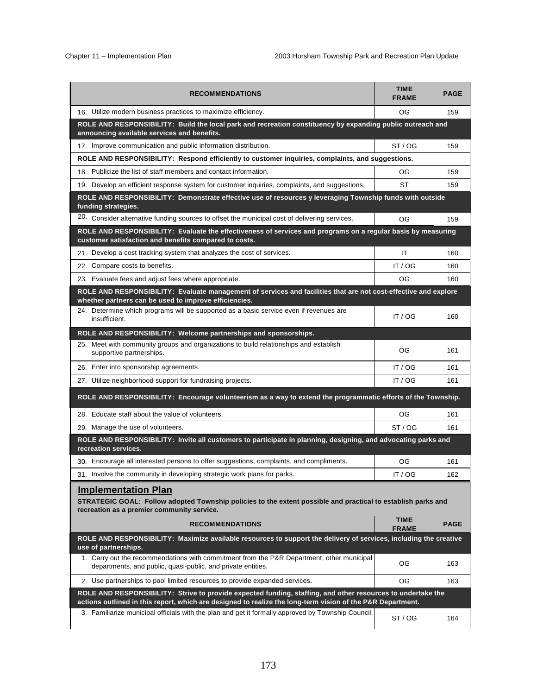| <b>RECOMMENDATIONS</b>                                                                                                                                                                                                    | <b>TIME</b><br><b>FRAME</b> | <b>PAGE</b> |  |  |
|---------------------------------------------------------------------------------------------------------------------------------------------------------------------------------------------------------------------------|-----------------------------|-------------|--|--|
| 16. Utilize modern business practices to maximize efficiency.                                                                                                                                                             | OG                          | 159         |  |  |
| ROLE AND RESPONSIBILITY: Build the local park and recreation constituency by expanding public outreach and<br>announcing available services and benefits.                                                                 |                             |             |  |  |
| 17. Improve communication and public information distribution.                                                                                                                                                            | ST/OG                       | 159         |  |  |
| ROLE AND RESPONSIBILITY: Respond efficiently to customer inquiries, complaints, and suggestions.                                                                                                                          |                             |             |  |  |
| 18. Publicize the list of staff members and contact information.                                                                                                                                                          | OG                          | 159         |  |  |
| 19. Develop an efficient response system for customer inquiries, complaints, and suggestions.                                                                                                                             | ST                          | 159         |  |  |
| ROLE AND RESPONSIBILITY: Demonstrate effective use of resources y leveraging Township funds with outside<br>funding strategies.                                                                                           |                             |             |  |  |
| 20. Consider alternative funding sources to offset the municipal cost of delivering services.                                                                                                                             | OG                          | 159         |  |  |
| ROLE AND RESPONSIBILITY: Evaluate the effectiveness of services and programs on a regular basis by measuring<br>customer satisfaction and benefits compared to costs.                                                     |                             |             |  |  |
| 21. Develop a cost tracking system that analyzes the cost of services.                                                                                                                                                    | IT                          | 160         |  |  |
| 22. Compare costs to benefits.                                                                                                                                                                                            | IT / OG                     | 160         |  |  |
| 23. Evaluate fees and adjust fees where appropriate.                                                                                                                                                                      | OG                          | 160         |  |  |
| ROLE AND RESPONSIBILITY: Evaluate management of services and facilities that are not cost-effective and explore<br>whether partners can be used to improve efficiencies.                                                  |                             |             |  |  |
| 24. Determine which programs will be supported as a basic service even if revenues are<br>insufficient.                                                                                                                   | IT / OG                     | 160         |  |  |
| ROLE AND RESPONSIBILITY: Welcome partnerships and sponsorships.                                                                                                                                                           |                             |             |  |  |
| 25. Meet with community groups and organizations to build relationships and establish<br>supportive partnerships.                                                                                                         | OG                          | 161         |  |  |
| 26. Enter into sponsorship agreements.                                                                                                                                                                                    | IT / OG                     | 161         |  |  |
| 27. Utilize neighborhood support for fundraising projects.                                                                                                                                                                | IT / $OG$                   | 161         |  |  |
| ROLE AND RESPONSIBILITY: Encourage volunteerism as a way to extend the programmatic efforts of the Township.                                                                                                              |                             |             |  |  |
| 28. Educate staff about the value of volunteers.                                                                                                                                                                          | OG                          | 161         |  |  |
| 29. Manage the use of volunteers.                                                                                                                                                                                         | ST/OG                       | 161         |  |  |
| ROLE AND RESPONSIBILITY: Invite all customers to participate in planning, designing, and advocating parks and<br>recreation services.                                                                                     |                             |             |  |  |
| 30. Encourage all interested persons to offer suggestions, complaints, and compliments.                                                                                                                                   | OG                          | 161         |  |  |
| 31. Involve the community in developing strategic work plans for parks.                                                                                                                                                   | IT / OG                     | 162         |  |  |
| <b>Implementation Plan</b><br>STRATEGIC GOAL: Follow adopted Township policies to the extent possible and practical to establish parks and<br>recreation as a premier community service.                                  |                             |             |  |  |
| <b>RECOMMENDATIONS</b>                                                                                                                                                                                                    | <b>TIME</b><br><b>FRAME</b> | <b>PAGE</b> |  |  |
| ROLE AND RESPONSIBILITY: Maximize available resources to support the delivery of services, including the creative<br>use of partnerships.                                                                                 |                             |             |  |  |
| 1. Carry out the recommendations with commitment from the P&R Department, other municipal<br>departments, and public, quasi-public, and private entities.                                                                 | OG                          | 163         |  |  |
| 2. Use partnerships to pool limited resources to provide expanded services.                                                                                                                                               | OG                          | 163         |  |  |
| ROLE AND RESPONSIBILITY: Strive to provide expected funding, staffing, and other resources to undertake the<br>actions outlined in this report, which are designed to realize the long-term vision of the P&R Department. |                             |             |  |  |
| 3. Familiarize municipal officials with the plan and get it formally approved by Township Council.                                                                                                                        | ST / OG                     | 164         |  |  |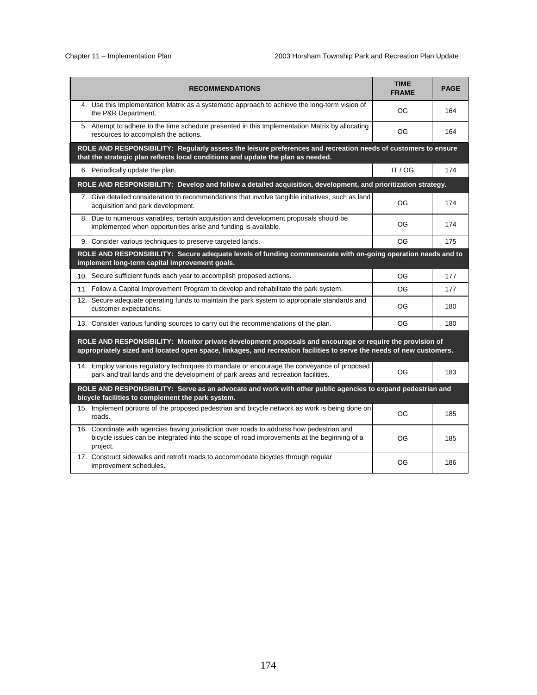| <b>RECOMMENDATIONS</b>                                                                                                                                                                                                           | <b>TIME</b><br><b>FRAME</b> | <b>PAGE</b> |
|----------------------------------------------------------------------------------------------------------------------------------------------------------------------------------------------------------------------------------|-----------------------------|-------------|
| 4. Use this Implementation Matrix as a systematic approach to achieve the long-term vision of<br>the P&R Department.                                                                                                             | OG                          | 164         |
| 5. Attempt to adhere to the time schedule presented in this Implementation Matrix by allocating<br>resources to accomplish the actions.                                                                                          | OG                          | 164         |
| ROLE AND RESPONSIBILITY: Regularly assess the leisure preferences and recreation needs of customers to ensure<br>that the strategic plan reflects local conditions and update the plan as needed.                                |                             |             |
| 6. Periodically update the plan.                                                                                                                                                                                                 | IT / OG                     | 174         |
| ROLE AND RESPONSIBILITY: Develop and follow a detailed acquisition, development, and prioritization strategy.                                                                                                                    |                             |             |
| 7. Give detailed consideration to recommendations that involve tangible initiatives, such as land<br>acquisition and park development.                                                                                           | OG                          | 174         |
| 8. Due to numerous variables, certain acquisition and development proposals should be<br>implemented when opportunities arise and funding is available.                                                                          | OG                          | 174         |
| 9. Consider various techniques to preserve targeted lands.                                                                                                                                                                       | OG                          | 175         |
| ROLE AND RESPONSIBILITY: Secure adequate levels of funding commensurate with on-going operation needs and to<br>implement long-term capital improvement goals.                                                                   |                             |             |
| 10. Secure sufficient funds each year to accomplish proposed actions.                                                                                                                                                            | OG.                         | 177         |
| 11. Follow a Capital Improvement Program to develop and rehabilitate the park system.                                                                                                                                            | OG                          | 177         |
| 12. Secure adequate operating funds to maintain the park system to appropriate standards and<br>customer expectations.                                                                                                           | OG                          | 180         |
| 13. Consider various funding sources to carry out the recommendations of the plan.                                                                                                                                               | OG                          | 180         |
| ROLE AND RESPONSIBILITY: Monitor private development proposals and encourage or require the provision of<br>appropriately sized and located open space, linkages, and recreation facilities to serve the needs of new customers. |                             |             |
| 14. Employ various regulatory techniques to mandate or encourage the conveyance of proposed<br>park and trail lands and the development of park areas and recreation facilities.                                                 | OG                          | 183         |
| ROLE AND RESPONSIBILITY: Serve as an advocate and work with other public agencies to expand pedestrian and<br>bicycle facilities to complement the park system.                                                                  |                             |             |
| 15. Implement portions of the proposed pedestrian and bicycle network as work is being done on<br>roads.                                                                                                                         | OG                          | 185         |
| 16. Coordinate with agencies having jurisdiction over roads to address how pedestrian and<br>bicycle issues can be integrated into the scope of road improvements at the beginning of a<br>project.                              | OG                          | 185         |
| 17. Construct sidewalks and retrofit roads to accommodate bicycles through regular<br>improvement schedules.                                                                                                                     | OG                          | 186         |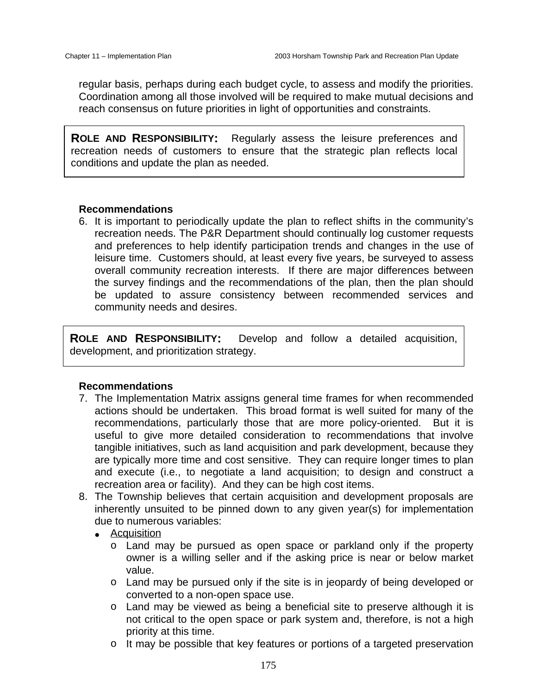regular basis, perhaps during each budget cycle, to assess and modify the priorities. Coordination among all those involved will be required to make mutual decisions and reach consensus on future priorities in light of opportunities and constraints.

**ROLE AND RESPONSIBILITY:** Regularly assess the leisure preferences and recreation needs of customers to ensure that the strategic plan reflects local conditions and update the plan as needed.

#### **Recommendations**

6. It is important to periodically update the plan to reflect shifts in the community's recreation needs. The P&R Department should continually log customer requests and preferences to help identify participation trends and changes in the use of leisure time. Customers should, at least every five years, be surveyed to assess overall community recreation interests. If there are major differences between the survey findings and the recommendations of the plan, then the plan should be updated to assure consistency between recommended services and community needs and desires.

**ROLE AND RESPONSIBILITY:** Develop and follow a detailed acquisition, development, and prioritization strategy.

- 7. The Implementation Matrix assigns general time frames for when recommended actions should be undertaken. This broad format is well suited for many of the recommendations, particularly those that are more policy-oriented. But it is useful to give more detailed consideration to recommendations that involve tangible initiatives, such as land acquisition and park development, because they are typically more time and cost sensitive. They can require longer times to plan and execute (i.e., to negotiate a land acquisition; to design and construct a recreation area or facility). And they can be high cost items.
- 8. The Township believes that certain acquisition and development proposals are inherently unsuited to be pinned down to any given year(s) for implementation due to numerous variables:
	- Acquisition
		- o Land may be pursued as open space or parkland only if the property owner is a willing seller and if the asking price is near or below market value.
		- o Land may be pursued only if the site is in jeopardy of being developed or converted to a non-open space use.
		- o Land may be viewed as being a beneficial site to preserve although it is not critical to the open space or park system and, therefore, is not a high priority at this time.
		- o It may be possible that key features or portions of a targeted preservation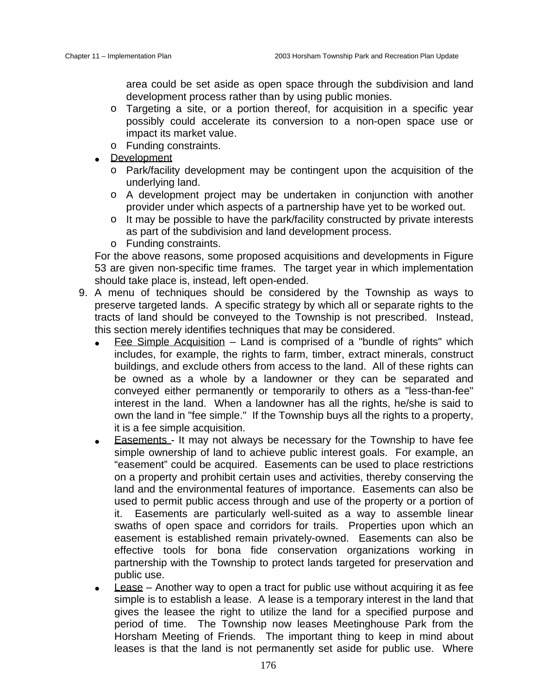area could be set aside as open space through the subdivision and land development process rather than by using public monies.

- o Targeting a site, or a portion thereof, for acquisition in a specific year possibly could accelerate its conversion to a non-open space use or impact its market value.
- o Funding constraints.
- Development
	- o Park/facility development may be contingent upon the acquisition of the underlying land.
	- o A development project may be undertaken in conjunction with another provider under which aspects of a partnership have yet to be worked out.
	- o It may be possible to have the park/facility constructed by private interests as part of the subdivision and land development process.
	- o Funding constraints.

For the above reasons, some proposed acquisitions and developments in Figure 53 are given non-specific time frames. The target year in which implementation should take place is, instead, left open-ended.

- 9. A menu of techniques should be considered by the Township as ways to preserve targeted lands. A specific strategy by which all or separate rights to the tracts of land should be conveyed to the Township is not prescribed. Instead, this section merely identifies techniques that may be considered.
	- Fee Simple Acquisition Land is comprised of a "bundle of rights" which includes, for example, the rights to farm, timber, extract minerals, construct buildings, and exclude others from access to the land. All of these rights can be owned as a whole by a landowner or they can be separated and conveyed either permanently or temporarily to others as a "less-than-fee" interest in the land. When a landowner has all the rights, he/she is said to own the land in "fee simple." If the Township buys all the rights to a property, it is a fee simple acquisition.
	- Easements It may not always be necessary for the Township to have fee simple ownership of land to achieve public interest goals. For example, an "easement" could be acquired. Easements can be used to place restrictions on a property and prohibit certain uses and activities, thereby conserving the land and the environmental features of importance. Easements can also be used to permit public access through and use of the property or a portion of it. Easements are particularly well-suited as a way to assemble linear swaths of open space and corridors for trails. Properties upon which an easement is established remain privately-owned. Easements can also be effective tools for bona fide conservation organizations working in partnership with the Township to protect lands targeted for preservation and public use.
	- Lease Another way to open a tract for public use without acquiring it as fee simple is to establish a lease. A lease is a temporary interest in the land that gives the leasee the right to utilize the land for a specified purpose and period of time. The Township now leases Meetinghouse Park from the Horsham Meeting of Friends. The important thing to keep in mind about leases is that the land is not permanently set aside for public use. Where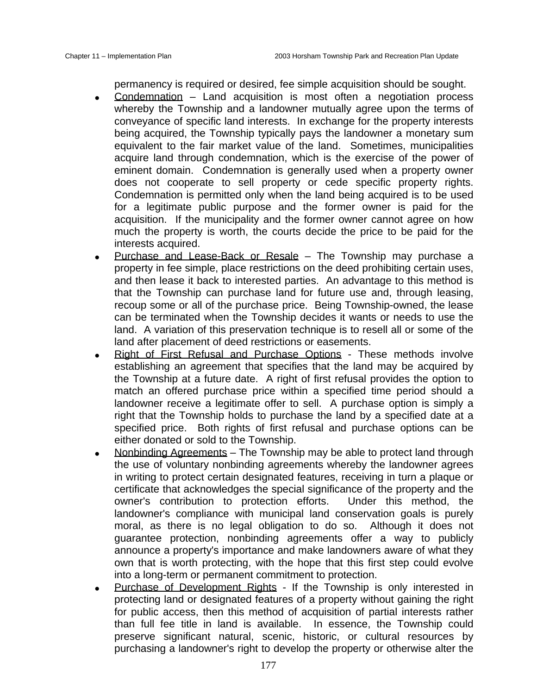permanency is required or desired, fee simple acquisition should be sought.

- Condemnation Land acquisition is most often a negotiation process whereby the Township and a landowner mutually agree upon the terms of conveyance of specific land interests. In exchange for the property interests being acquired, the Township typically pays the landowner a monetary sum equivalent to the fair market value of the land. Sometimes, municipalities acquire land through condemnation, which is the exercise of the power of eminent domain. Condemnation is generally used when a property owner does not cooperate to sell property or cede specific property rights. Condemnation is permitted only when the land being acquired is to be used for a legitimate public purpose and the former owner is paid for the acquisition. If the municipality and the former owner cannot agree on how much the property is worth, the courts decide the price to be paid for the interests acquired.
- Purchase and Lease-Back or Resale The Township may purchase a property in fee simple, place restrictions on the deed prohibiting certain uses, and then lease it back to interested parties. An advantage to this method is that the Township can purchase land for future use and, through leasing, recoup some or all of the purchase price. Being Township-owned, the lease can be terminated when the Township decides it wants or needs to use the land. A variation of this preservation technique is to resell all or some of the land after placement of deed restrictions or easements.
- Right of First Refusal and Purchase Options These methods involve establishing an agreement that specifies that the land may be acquired by the Township at a future date. A right of first refusal provides the option to match an offered purchase price within a specified time period should a landowner receive a legitimate offer to sell. A purchase option is simply a right that the Township holds to purchase the land by a specified date at a specified price. Both rights of first refusal and purchase options can be either donated or sold to the Township.
- Nonbinding Agreements The Township may be able to protect land through the use of voluntary nonbinding agreements whereby the landowner agrees in writing to protect certain designated features, receiving in turn a plaque or certificate that acknowledges the special significance of the property and the owner's contribution to protection efforts. Under this method, the landowner's compliance with municipal land conservation goals is purely moral, as there is no legal obligation to do so. Although it does not guarantee protection, nonbinding agreements offer a way to publicly announce a property's importance and make landowners aware of what they own that is worth protecting, with the hope that this first step could evolve into a long-term or permanent commitment to protection.
- Purchase of Development Rights If the Township is only interested in protecting land or designated features of a property without gaining the right for public access, then this method of acquisition of partial interests rather than full fee title in land is available. In essence, the Township could preserve significant natural, scenic, historic, or cultural resources by purchasing a landowner's right to develop the property or otherwise alter the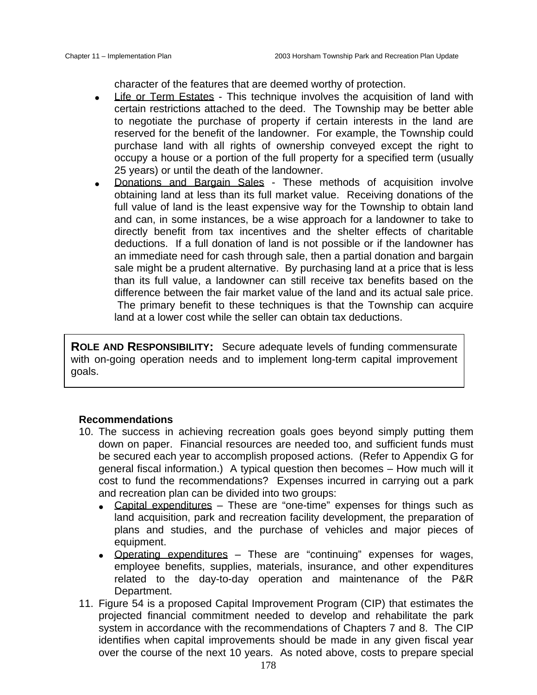character of the features that are deemed worthy of protection.

- Life or Term Estates This technique involves the acquisition of land with certain restrictions attached to the deed. The Township may be better able to negotiate the purchase of property if certain interests in the land are reserved for the benefit of the landowner. For example, the Township could purchase land with all rights of ownership conveyed except the right to occupy a house or a portion of the full property for a specified term (usually 25 years) or until the death of the landowner.
- Donations and Bargain Sales These methods of acquisition involve obtaining land at less than its full market value. Receiving donations of the full value of land is the least expensive way for the Township to obtain land and can, in some instances, be a wise approach for a landowner to take to directly benefit from tax incentives and the shelter effects of charitable deductions. If a full donation of land is not possible or if the landowner has an immediate need for cash through sale, then a partial donation and bargain sale might be a prudent alternative. By purchasing land at a price that is less than its full value, a landowner can still receive tax benefits based on the difference between the fair market value of the land and its actual sale price. The primary benefit to these techniques is that the Township can acquire land at a lower cost while the seller can obtain tax deductions.

**ROLE AND RESPONSIBILITY:** Secure adequate levels of funding commensurate with on-going operation needs and to implement long-term capital improvement goals.

- 10. The success in achieving recreation goals goes beyond simply putting them down on paper. Financial resources are needed too, and sufficient funds must be secured each year to accomplish proposed actions. (Refer to Appendix G for general fiscal information.) A typical question then becomes – How much will it cost to fund the recommendations? Expenses incurred in carrying out a park and recreation plan can be divided into two groups:
	- Capital expenditures These are "one-time" expenses for things such as land acquisition, park and recreation facility development, the preparation of plans and studies, and the purchase of vehicles and major pieces of equipment.
	- Operating expenditures These are "continuing" expenses for wages, employee benefits, supplies, materials, insurance, and other expenditures related to the day-to-day operation and maintenance of the P&R Department.
- 11. Figure 54 is a proposed Capital Improvement Program (CIP) that estimates the projected financial commitment needed to develop and rehabilitate the park system in accordance with the recommendations of Chapters 7 and 8. The CIP identifies when capital improvements should be made in any given fiscal year over the course of the next 10 years. As noted above, costs to prepare special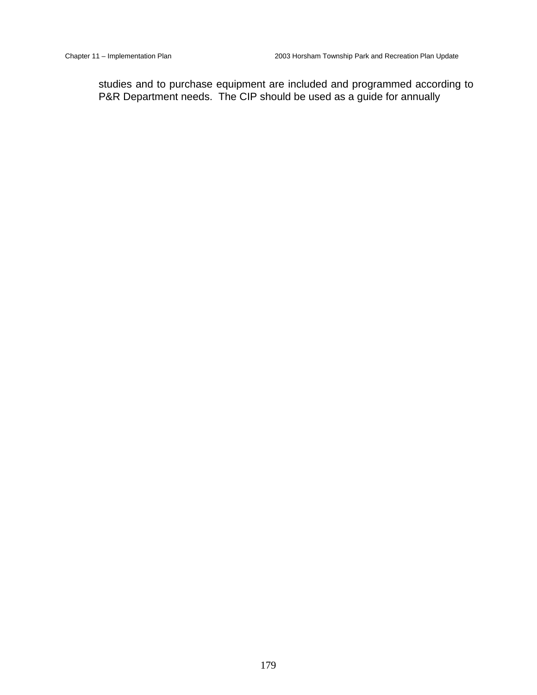studies and to purchase equipment are included and programmed according to P&R Department needs. The CIP should be used as a guide for annually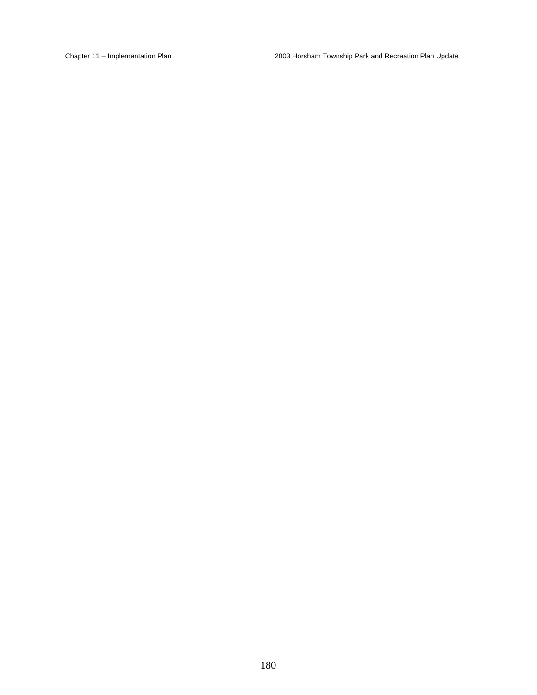Chapter 11 – Implementation Plan 2003 Horsham Township Park and Recreation Plan Update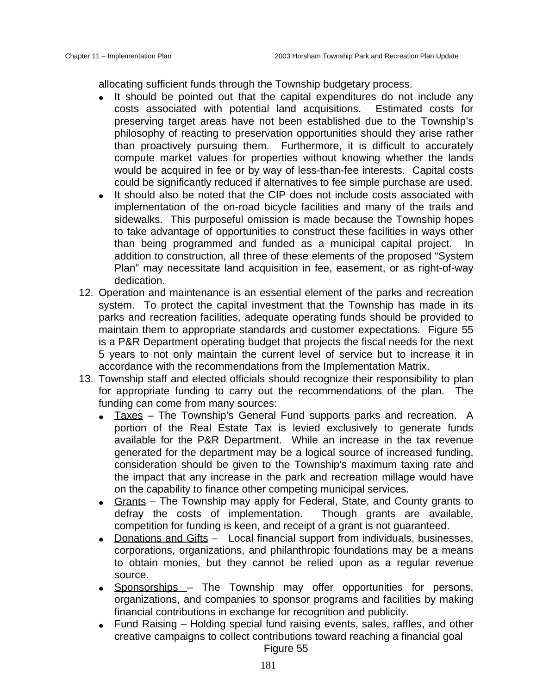allocating sufficient funds through the Township budgetary process.

- It should be pointed out that the capital expenditures do not include any costs associated with potential land acquisitions. Estimated costs for preserving target areas have not been established due to the Township's philosophy of reacting to preservation opportunities should they arise rather than proactively pursuing them. Furthermore, it is difficult to accurately compute market values for properties without knowing whether the lands would be acquired in fee or by way of less-than-fee interests. Capital costs could be significantly reduced if alternatives to fee simple purchase are used.
- It should also be noted that the CIP does not include costs associated with implementation of the on-road bicycle facilities and many of the trails and sidewalks. This purposeful omission is made because the Township hopes to take advantage of opportunities to construct these facilities in ways other than being programmed and funded as a municipal capital project. In addition to construction, all three of these elements of the proposed "System Plan" may necessitate land acquisition in fee, easement, or as right-of-way dedication.
- 12. Operation and maintenance is an essential element of the parks and recreation system. To protect the capital investment that the Township has made in its parks and recreation facilities, adequate operating funds should be provided to maintain them to appropriate standards and customer expectations. Figure 55 is a P&R Department operating budget that projects the fiscal needs for the next 5 years to not only maintain the current level of service but to increase it in accordance with the recommendations from the Implementation Matrix.
- 13. Township staff and elected officials should recognize their responsibility to plan for appropriate funding to carry out the recommendations of the plan. The funding can come from many sources:
	- Taxes The Township's General Fund supports parks and recreation. A portion of the Real Estate Tax is levied exclusively to generate funds available for the P&R Department. While an increase in the tax revenue generated for the department may be a logical source of increased funding, consideration should be given to the Township's maximum taxing rate and the impact that any increase in the park and recreation millage would have on the capability to finance other competing municipal services.
	- Grants The Township may apply for Federal, State, and County grants to defray the costs of implementation. Though grants are available, competition for funding is keen, and receipt of a grant is not guaranteed.
	- Donations and Gifts Local financial support from individuals, businesses, corporations, organizations, and philanthropic foundations may be a means to obtain monies, but they cannot be relied upon as a regular revenue source.
	- Sponsorships The Township may offer opportunities for persons, organizations, and companies to sponsor programs and facilities by making financial contributions in exchange for recognition and publicity.
	- Fund Raising Holding special fund raising events, sales, raffles, and other creative campaigns to collect contributions toward reaching a financial goal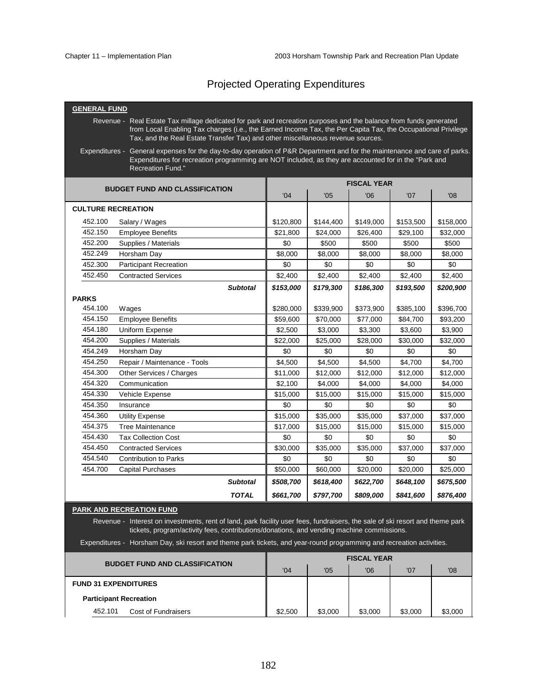# Projected Operating Expenditures

| <b>GENERAL FUND</b>                                                                                                          |                                                                                                                                                                                                 |           |                         |           |           |  |  |
|------------------------------------------------------------------------------------------------------------------------------|-------------------------------------------------------------------------------------------------------------------------------------------------------------------------------------------------|-----------|-------------------------|-----------|-----------|--|--|
| Revenue - Real Estate Tax millage dedicated for park and recreation purposes and the balance from funds generated            |                                                                                                                                                                                                 |           |                         |           |           |  |  |
|                                                                                                                              | from Local Enabling Tax charges (i.e., the Earned Income Tax, the Per Capita Tax, the Occupational Privilege<br>Tax, and the Real Estate Transfer Tax) and other miscellaneous revenue sources. |           |                         |           |           |  |  |
| Expenditures - General expenses for the day-to-day operation of P&R Department and for the maintenance and care of parks.    |                                                                                                                                                                                                 |           |                         |           |           |  |  |
| Expenditures for recreation programming are NOT included, as they are accounted for in the "Park and                         |                                                                                                                                                                                                 |           |                         |           |           |  |  |
| Recreation Fund."                                                                                                            |                                                                                                                                                                                                 |           |                         |           |           |  |  |
| <b>BUDGET FUND AND CLASSIFICATION</b>                                                                                        |                                                                                                                                                                                                 |           | <b>FISCAL YEAR</b>      |           |           |  |  |
|                                                                                                                              | '04                                                                                                                                                                                             | '05       | 06                      | '07       | '08       |  |  |
| <b>CULTURE RECREATION</b>                                                                                                    |                                                                                                                                                                                                 |           |                         |           |           |  |  |
| 452.100<br>Salary / Wages                                                                                                    | \$120,800                                                                                                                                                                                       | \$144,400 | \$149,000               | \$153,500 | \$158,000 |  |  |
| 452.150<br><b>Employee Benefits</b>                                                                                          | \$21,800                                                                                                                                                                                        | \$24,000  | \$26,400                | \$29,100  | \$32,000  |  |  |
| 452.200<br>Supplies / Materials                                                                                              | \$0                                                                                                                                                                                             | \$500     | \$500                   | \$500     | \$500     |  |  |
| 452.249<br>Horsham Day                                                                                                       | \$8,000                                                                                                                                                                                         | \$8,000   | \$8,000                 | \$8,000   | \$8,000   |  |  |
| 452.300<br><b>Participant Recreation</b>                                                                                     | \$0                                                                                                                                                                                             | \$0       | \$0                     | \$0       | \$0       |  |  |
| 452.450<br><b>Contracted Services</b>                                                                                        | \$2,400                                                                                                                                                                                         | \$2,400   | \$2,400                 | \$2,400   | \$2,400   |  |  |
| <b>Subtotal</b>                                                                                                              | \$153,000                                                                                                                                                                                       | \$179,300 | \$186,300               | \$193,500 | \$200,900 |  |  |
| <b>PARKS</b><br>454.100<br>Wages                                                                                             | \$280,000                                                                                                                                                                                       | \$339,900 | \$373,900               | \$385,100 | \$396,700 |  |  |
| 454.150<br><b>Employee Benefits</b>                                                                                          | \$59,600                                                                                                                                                                                        | \$70,000  | \$77,000                | \$84,700  | \$93,200  |  |  |
| 454.180<br>Uniform Expense                                                                                                   | \$2,500                                                                                                                                                                                         | \$3,000   | \$3,300                 | \$3,600   | \$3,900   |  |  |
| 454.200<br>Supplies / Materials                                                                                              | \$22,000                                                                                                                                                                                        | \$25,000  | \$28,000                | \$30,000  | \$32,000  |  |  |
| 454.249<br>Horsham Dav                                                                                                       | \$0                                                                                                                                                                                             | \$0       | \$0                     | \$0       | \$0       |  |  |
| 454.250<br>Repair / Maintenance - Tools                                                                                      | \$4,500                                                                                                                                                                                         | \$4,500   | \$4,500                 | \$4,700   | \$4,700   |  |  |
| 454.300<br>Other Services / Charges                                                                                          | \$11,000                                                                                                                                                                                        | \$12,000  | \$12,000                | \$12,000  | \$12,000  |  |  |
| 454.320<br>Communication                                                                                                     | \$2,100                                                                                                                                                                                         | \$4,000   | \$4,000                 | \$4,000   | \$4,000   |  |  |
| 454.330<br>Vehicle Expense                                                                                                   | \$15,000                                                                                                                                                                                        | \$15,000  | \$15,000                | \$15,000  | \$15,000  |  |  |
| 454.350<br>Insurance                                                                                                         | \$0                                                                                                                                                                                             | \$0       | \$0                     | \$0       | \$0       |  |  |
| 454.360<br><b>Utility Expense</b>                                                                                            | \$15,000                                                                                                                                                                                        | \$35,000  | \$35,000                | \$37,000  | \$37,000  |  |  |
| 454.375<br><b>Tree Maintenance</b>                                                                                           | \$17,000                                                                                                                                                                                        | \$15,000  | \$15,000                | \$15,000  | \$15,000  |  |  |
| 454.430<br><b>Tax Collection Cost</b>                                                                                        | \$0                                                                                                                                                                                             | \$0       | \$0                     | \$0       | \$0       |  |  |
| 454.450<br><b>Contracted Services</b>                                                                                        | \$30,000                                                                                                                                                                                        | \$35,000  | \$35,000                | \$37,000  | \$37,000  |  |  |
| 454.540<br><b>Contribution to Parks</b>                                                                                      | \$0                                                                                                                                                                                             | \$0       | \$0                     | \$0       | \$0       |  |  |
| 454.700<br><b>Capital Purchases</b>                                                                                          | \$50,000                                                                                                                                                                                        | \$60,000  | \$20,000                | \$20,000  | \$25,000  |  |  |
| <b>Subtotal</b>                                                                                                              | \$508,700                                                                                                                                                                                       | \$618,400 | \$622,700               | \$648,100 | \$675,500 |  |  |
| TOTAL                                                                                                                        | \$661,700                                                                                                                                                                                       | \$797,700 | <i><b>\$809,000</b></i> | \$841,600 | \$876,400 |  |  |
| PARK AND RECREATION FUND                                                                                                     |                                                                                                                                                                                                 |           |                         |           |           |  |  |
| Revenue - Interest on investments, rent of land, park facility user fees, fundraisers, the sale of ski resort and theme park |                                                                                                                                                                                                 |           |                         |           |           |  |  |
| tickets, program/activity fees, contributions/donations, and vending machine commissions.                                    |                                                                                                                                                                                                 |           |                         |           |           |  |  |
| Expenditures - Horsham Day, ski resort and theme park tickets, and year-round programming and recreation activities.         |                                                                                                                                                                                                 |           |                         |           |           |  |  |
| <b>FISCAL YEAR</b>                                                                                                           |                                                                                                                                                                                                 |           |                         |           |           |  |  |
| <b>BUDGET FUND AND CLASSIFICATION</b>                                                                                        | '04                                                                                                                                                                                             | '05       | 06                      | '07       | 08'       |  |  |
| <b>FUND 31 EXPENDITURES</b>                                                                                                  |                                                                                                                                                                                                 |           |                         |           |           |  |  |
| <b>Participant Recreation</b>                                                                                                |                                                                                                                                                                                                 |           |                         |           |           |  |  |
|                                                                                                                              |                                                                                                                                                                                                 |           |                         |           |           |  |  |
| 452.101<br><b>Cost of Fundraisers</b>                                                                                        | \$2,500                                                                                                                                                                                         | \$3,000   | \$3,000                 | \$3,000   | \$3,000   |  |  |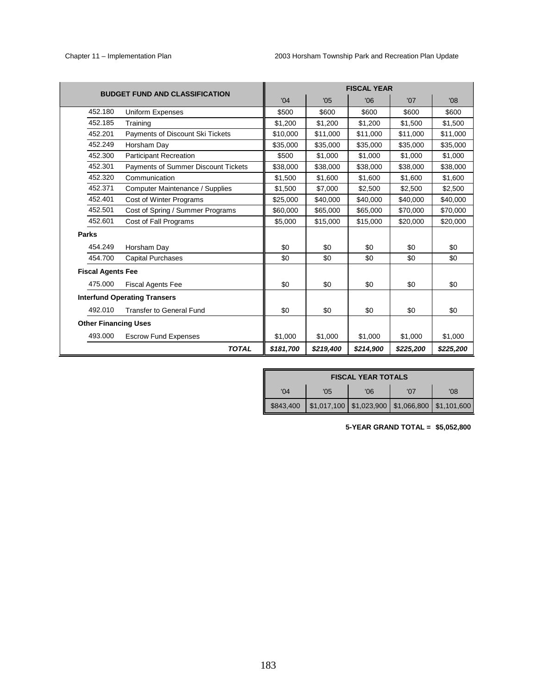| <b>BUDGET FUND AND CLASSIFICATION</b> |                                            | <b>FISCAL YEAR</b> |           |           |           |           |
|---------------------------------------|--------------------------------------------|--------------------|-----------|-----------|-----------|-----------|
|                                       |                                            | '04                | '05       | 06'       | '07       | 08'       |
| 452.180                               | <b>Uniform Expenses</b>                    | \$500              | \$600     | \$600     | \$600     | \$600     |
| 452.185                               | Training                                   | \$1,200            | \$1,200   | \$1,200   | \$1,500   | \$1,500   |
| 452.201                               | Payments of Discount Ski Tickets           | \$10,000           | \$11.000  | \$11.000  | \$11.000  | \$11,000  |
| 452.249                               | Horsham Day                                | \$35,000           | \$35,000  | \$35,000  | \$35,000  | \$35,000  |
| 452.300                               | <b>Participant Recreation</b>              | \$500              | \$1,000   | \$1,000   | \$1,000   | \$1,000   |
| 452.301                               | <b>Payments of Summer Discount Tickets</b> | \$38,000           | \$38,000  | \$38,000  | \$38,000  | \$38,000  |
| 452.320                               | Communication                              | \$1.500            | \$1.600   | \$1,600   | \$1.600   | \$1,600   |
| 452.371                               | Computer Maintenance / Supplies            | \$1,500            | \$7,000   | \$2,500   | \$2,500   | \$2,500   |
| 452.401                               | Cost of Winter Programs                    | \$25,000           | \$40,000  | \$40,000  | \$40,000  | \$40,000  |
| 452.501                               | Cost of Spring / Summer Programs           | \$60,000           | \$65,000  | \$65,000  | \$70,000  | \$70,000  |
| 452.601                               | Cost of Fall Programs                      | \$5,000            | \$15,000  | \$15,000  | \$20,000  | \$20,000  |
| <b>Parks</b>                          |                                            |                    |           |           |           |           |
| 454.249                               | Horsham Day                                | \$0                | \$0       | \$0       | \$0       | \$0       |
| 454.700                               | <b>Capital Purchases</b>                   | \$0                | \$0       | \$0       | \$0       | \$0       |
| <b>Fiscal Agents Fee</b>              |                                            |                    |           |           |           |           |
| 475.000                               | <b>Fiscal Agents Fee</b>                   | \$0                | \$0       | \$0       | \$0       | \$0       |
|                                       | <b>Interfund Operating Transers</b>        |                    |           |           |           |           |
| 492.010                               | <b>Transfer to General Fund</b>            | \$0                | \$0       | \$0       | \$0       | \$0       |
|                                       | <b>Other Financing Uses</b>                |                    |           |           |           |           |
| 493.000                               | <b>Escrow Fund Expenses</b>                | \$1,000            | \$1,000   | \$1,000   | \$1,000   | \$1,000   |
|                                       | <b>TOTAL</b>                               | \$181,700          | \$219,400 | \$214,900 | \$225,200 | \$225,200 |

| <b>FISCAL YEAR TOTALS</b>       |                                                              |  |  |  |  |
|---------------------------------|--------------------------------------------------------------|--|--|--|--|
| ־07<br>'04<br>'08<br>'05<br>'06 |                                                              |  |  |  |  |
| \$843,400                       | $\mid$ \$1,017,100   \$1,023,900   \$1,066,800   \$1,101,600 |  |  |  |  |

**5-YEAR GRAND TOTAL = \$5,052,800**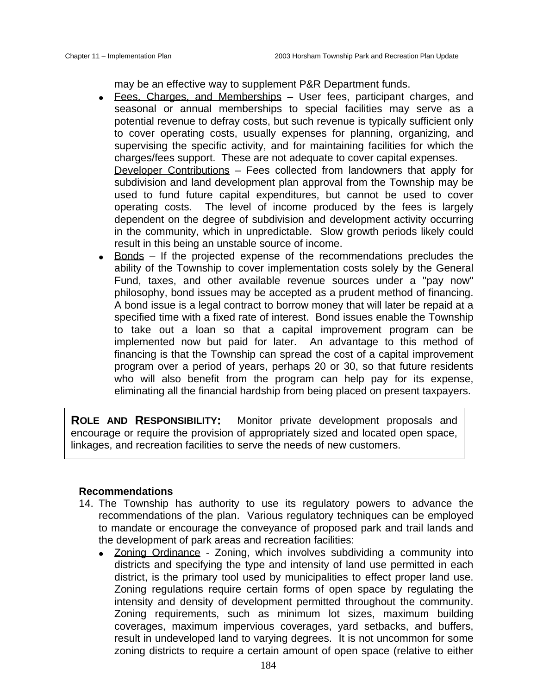may be an effective way to supplement P&R Department funds.

- Fees, Charges, and Memberships User fees, participant charges, and seasonal or annual memberships to special facilities may serve as a potential revenue to defray costs, but such revenue is typically sufficient only to cover operating costs, usually expenses for planning, organizing, and supervising the specific activity, and for maintaining facilities for which the charges/fees support. These are not adequate to cover capital expenses. Developer Contributions – Fees collected from landowners that apply for subdivision and land development plan approval from the Township may be used to fund future capital expenditures, but cannot be used to cover operating costs. The level of income produced by the fees is largely dependent on the degree of subdivision and development activity occurring in the community, which in unpredictable. Slow growth periods likely could result in this being an unstable source of income.
- Bonds If the projected expense of the recommendations precludes the ability of the Township to cover implementation costs solely by the General Fund, taxes, and other available revenue sources under a "pay now" philosophy, bond issues may be accepted as a prudent method of financing. A bond issue is a legal contract to borrow money that will later be repaid at a specified time with a fixed rate of interest. Bond issues enable the Township to take out a loan so that a capital improvement program can be implemented now but paid for later. An advantage to this method of financing is that the Township can spread the cost of a capital improvement program over a period of years, perhaps 20 or 30, so that future residents who will also benefit from the program can help pay for its expense, eliminating all the financial hardship from being placed on present taxpayers.

**ROLE AND RESPONSIBILITY:** Monitor private development proposals and encourage or require the provision of appropriately sized and located open space, linkages, and recreation facilities to serve the needs of new customers.

- 14. The Township has authority to use its regulatory powers to advance the recommendations of the plan. Various regulatory techniques can be employed to mandate or encourage the conveyance of proposed park and trail lands and the development of park areas and recreation facilities:
	- Zoning Ordinance Zoning, which involves subdividing a community into districts and specifying the type and intensity of land use permitted in each district, is the primary tool used by municipalities to effect proper land use. Zoning regulations require certain forms of open space by regulating the intensity and density of development permitted throughout the community. Zoning requirements, such as minimum lot sizes, maximum building coverages, maximum impervious coverages, yard setbacks, and buffers, result in undeveloped land to varying degrees. It is not uncommon for some zoning districts to require a certain amount of open space (relative to either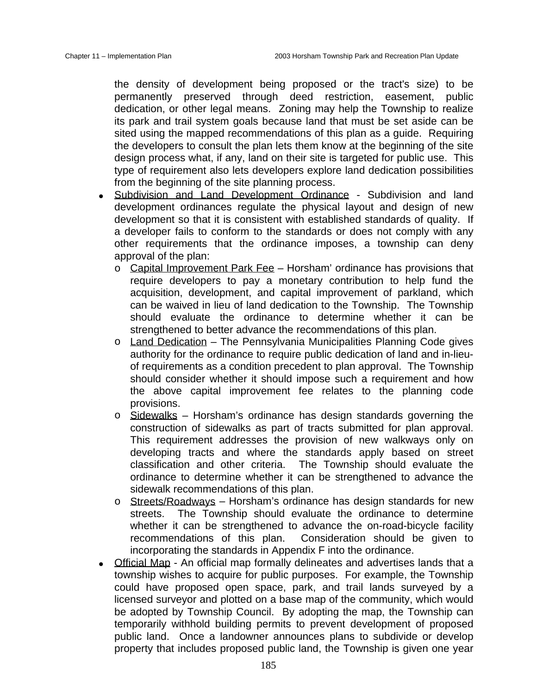the density of development being proposed or the tract's size) to be permanently preserved through deed restriction, easement, public dedication, or other legal means. Zoning may help the Township to realize its park and trail system goals because land that must be set aside can be sited using the mapped recommendations of this plan as a guide. Requiring the developers to consult the plan lets them know at the beginning of the site design process what, if any, land on their site is targeted for public use. This type of requirement also lets developers explore land dedication possibilities from the beginning of the site planning process.

- Subdivision and Land Development Ordinance Subdivision and land development ordinances regulate the physical layout and design of new development so that it is consistent with established standards of quality. If a developer fails to conform to the standards or does not comply with any other requirements that the ordinance imposes, a township can deny approval of the plan:
	- $\circ$  Capital Improvement Park Fee Horsham' ordinance has provisions that require developers to pay a monetary contribution to help fund the acquisition, development, and capital improvement of parkland, which can be waived in lieu of land dedication to the Township. The Township should evaluate the ordinance to determine whether it can be strengthened to better advance the recommendations of this plan.
	- o Land Dedication The Pennsylvania Municipalities Planning Code gives authority for the ordinance to require public dedication of land and in-lieuof requirements as a condition precedent to plan approval. The Township should consider whether it should impose such a requirement and how the above capital improvement fee relates to the planning code provisions.
	- o Sidewalks Horsham's ordinance has design standards governing the construction of sidewalks as part of tracts submitted for plan approval. This requirement addresses the provision of new walkways only on developing tracts and where the standards apply based on street classification and other criteria. The Township should evaluate the ordinance to determine whether it can be strengthened to advance the sidewalk recommendations of this plan.
	- o Streets/Roadways Horsham's ordinance has design standards for new streets. The Township should evaluate the ordinance to determine whether it can be strengthened to advance the on-road-bicycle facility recommendations of this plan. Consideration should be given to incorporating the standards in Appendix F into the ordinance.
- Official Map An official map formally delineates and advertises lands that a township wishes to acquire for public purposes. For example, the Township could have proposed open space, park, and trail lands surveyed by a licensed surveyor and plotted on a base map of the community, which would be adopted by Township Council. By adopting the map, the Township can temporarily withhold building permits to prevent development of proposed public land. Once a landowner announces plans to subdivide or develop property that includes proposed public land, the Township is given one year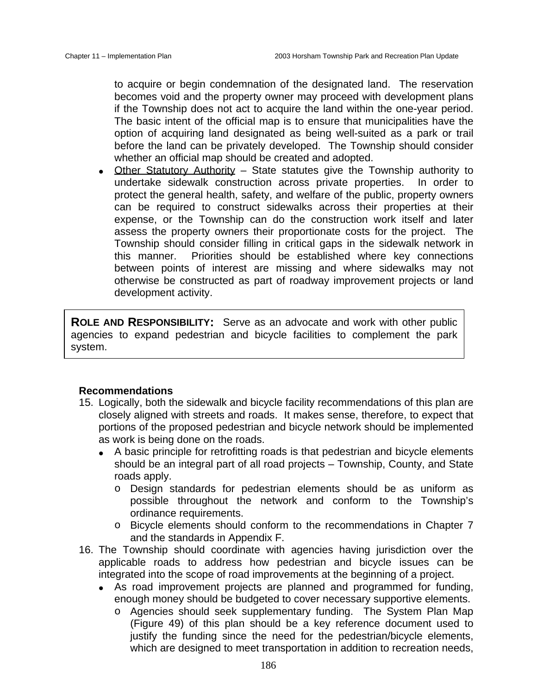to acquire or begin condemnation of the designated land. The reservation becomes void and the property owner may proceed with development plans if the Township does not act to acquire the land within the one-year period. The basic intent of the official map is to ensure that municipalities have the option of acquiring land designated as being well-suited as a park or trail before the land can be privately developed. The Township should consider whether an official map should be created and adopted.

• Other Statutory Authority – State statutes give the Township authority to undertake sidewalk construction across private properties. In order to protect the general health, safety, and welfare of the public, property owners can be required to construct sidewalks across their properties at their expense, or the Township can do the construction work itself and later assess the property owners their proportionate costs for the project. The Township should consider filling in critical gaps in the sidewalk network in this manner. Priorities should be established where key connections between points of interest are missing and where sidewalks may not otherwise be constructed as part of roadway improvement projects or land development activity.

**ROLE AND RESPONSIBILITY:** Serve as an advocate and work with other public agencies to expand pedestrian and bicycle facilities to complement the park system.

- 15. Logically, both the sidewalk and bicycle facility recommendations of this plan are closely aligned with streets and roads. It makes sense, therefore, to expect that portions of the proposed pedestrian and bicycle network should be implemented as work is being done on the roads.
	- A basic principle for retrofitting roads is that pedestrian and bicycle elements should be an integral part of all road projects – Township, County, and State roads apply.
		- o Design standards for pedestrian elements should be as uniform as possible throughout the network and conform to the Township's ordinance requirements.
		- o Bicycle elements should conform to the recommendations in Chapter 7 and the standards in Appendix F.
- 16. The Township should coordinate with agencies having jurisdiction over the applicable roads to address how pedestrian and bicycle issues can be integrated into the scope of road improvements at the beginning of a project.
	- As road improvement projects are planned and programmed for funding, enough money should be budgeted to cover necessary supportive elements.
		- o Agencies should seek supplementary funding. The System Plan Map (Figure 49) of this plan should be a key reference document used to justify the funding since the need for the pedestrian/bicycle elements, which are designed to meet transportation in addition to recreation needs,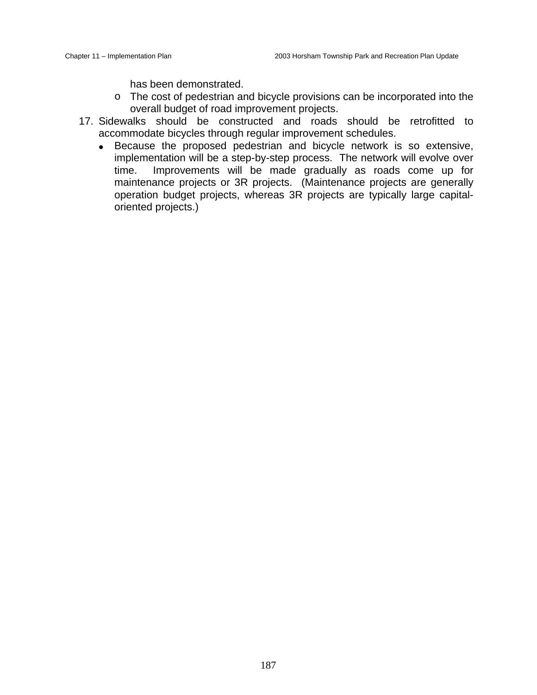has been demonstrated.

- o The cost of pedestrian and bicycle provisions can be incorporated into the overall budget of road improvement projects.
- 17. Sidewalks should be constructed and roads should be retrofitted to accommodate bicycles through regular improvement schedules.
	- Because the proposed pedestrian and bicycle network is so extensive, implementation will be a step-by-step process. The network will evolve over time. Improvements will be made gradually as roads come up for maintenance projects or 3R projects. (Maintenance projects are generally operation budget projects, whereas 3R projects are typically large capitaloriented projects.)